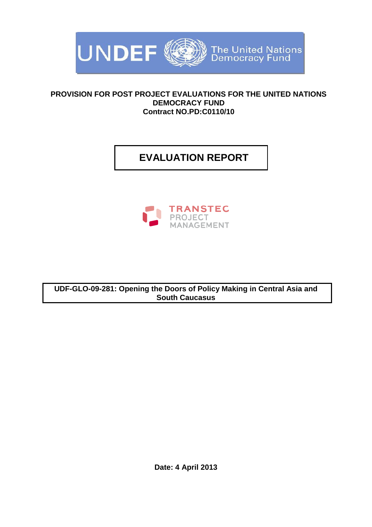

#### **PROVISION FOR POST PROJECT EVALUATIONS FOR THE UNITED NATIONS DEMOCRACY FUND Contract NO.PD:C0110/10**

# **EVALUATION REPORT**



**UDF-GLO-09-281: Opening the Doors of Policy Making in Central Asia and South Caucasus**

**Date: 4 April 2013**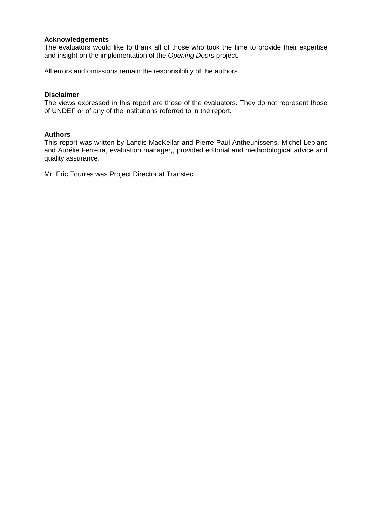#### **Acknowledgements**

The evaluators would like to thank all of those who took the time to provide their expertise and insight on the implementation of the *Opening Doors* project.

All errors and omissions remain the responsibility of the authors.

#### **Disclaimer**

The views expressed in this report are those of the evaluators. They do not represent those of UNDEF or of any of the institutions referred to in the report.

#### **Authors**

This report was written by Landis MacKellar and Pierre-Paul Antheunissens. Michel Leblanc and Aurélie Ferreira, evaluation manager,, provided editorial and methodological advice and quality assurance.

Mr. Eric Tourres was Project Director at Transtec.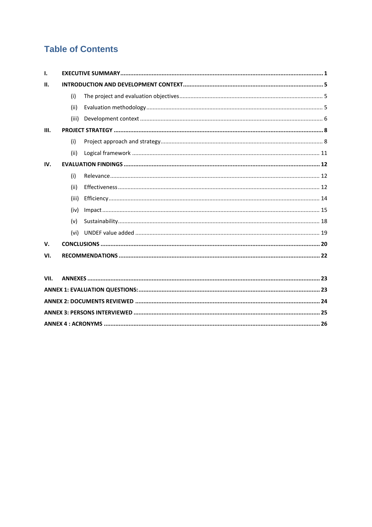## **Table of Contents**

| ı.          |       |  |  |  |
|-------------|-------|--|--|--|
| П.          |       |  |  |  |
|             | (i)   |  |  |  |
|             | (ii)  |  |  |  |
|             | (iii) |  |  |  |
| Ш.          |       |  |  |  |
|             | (i)   |  |  |  |
|             | (ii)  |  |  |  |
| IV.         |       |  |  |  |
|             | (i)   |  |  |  |
|             | (ii)  |  |  |  |
|             | (iii) |  |  |  |
|             | (iv)  |  |  |  |
|             | (v)   |  |  |  |
|             | (vi)  |  |  |  |
| $V_{\rm r}$ |       |  |  |  |
| VI.         |       |  |  |  |
| VII.        |       |  |  |  |
|             |       |  |  |  |
|             |       |  |  |  |

<span id="page-2-0"></span>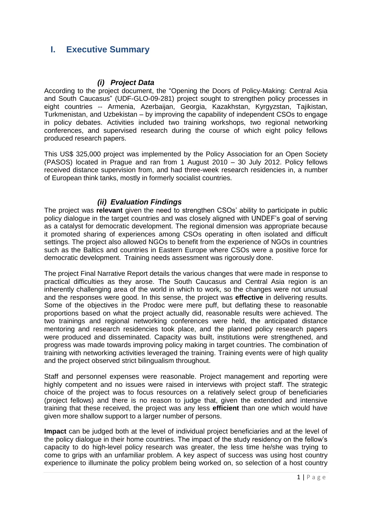### **I. Executive Summary**

#### *(i) Project Data*

According to the project document, the "Opening the Doors of Policy-Making: Central Asia and South Caucasus" (UDF-GLO-09-281) project sought to strengthen policy processes in eight countries -- Armenia, Azerbaijan, Georgia, Kazakhstan, Kyrgyzstan, Tajikistan, Turkmenistan, and Uzbekistan – by improving the capability of independent CSOs to engage in policy debates. Activities included two training workshops, two regional networking conferences, and supervised research during the course of which eight policy fellows produced research papers.

This US\$ 325,000 project was implemented by the Policy Association for an Open Society (PASOS) located in Prague and ran from 1 August 2010 – 30 July 2012. Policy fellows received distance supervision from, and had three-week research residencies in, a number of European think tanks, mostly in formerly socialist countries.

#### *(ii) Evaluation Findings*

The project was **relevant** given the need to strengthen CSOs' ability to participate in public policy dialogue in the target countries and was closely aligned with UNDEF's goal of serving as a catalyst for democratic development. The regional dimension was appropriate because it promoted sharing of experiences among CSOs operating in often isolated and difficult settings. The project also allowed NGOs to benefit from the experience of NGOs in countries such as the Baltics and countries in Eastern Europe where CSOs were a positive force for democratic development. Training needs assessment was rigorously done.

The project Final Narrative Report details the various changes that were made in response to practical difficulties as they arose. The South Caucasus and Central Asia region is an inherently challenging area of the world in which to work, so the changes were not unusual and the responses were good. In this sense, the project was **effective** in delivering results. Some of the objectives in the Prodoc were mere puff, but deflating these to reasonable proportions based on what the project actually did, reasonable results were achieved. The two trainings and regional networking conferences were held, the anticipated distance mentoring and research residencies took place, and the planned policy research papers were produced and disseminated. Capacity was built, institutions were strengthened, and progress was made towards improving policy making in target countries. The combination of training with networking activities leveraged the training. Training events were of high quality and the project observed strict bilingualism throughout.

Staff and personnel expenses were reasonable. Project management and reporting were highly competent and no issues were raised in interviews with project staff. The strategic choice of the project was to focus resources on a relatively select group of beneficiaries (project fellows) and there is no reason to judge that, given the extended and intensive training that these received, the project was any less **efficient** than one which would have given more shallow support to a larger number of persons.

**Impact** can be judged both at the level of individual project beneficiaries and at the level of the policy dialogue in their home countries. The impact of the study residency on the fellow's capacity to do high-level policy research was greater, the less time he/she was trying to come to grips with an unfamiliar problem. A key aspect of success was using host country experience to illuminate the policy problem being worked on, so selection of a host country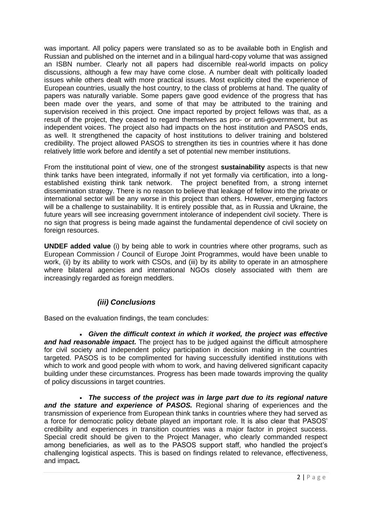was important. All policy papers were translated so as to be available both in English and Russian and published on the internet and in a bilingual hard-copy volume that was assigned an ISBN number. Clearly not all papers had discernible real-world impacts on policy discussions, although a few may have come close. A number dealt with politically loaded issues while others dealt with more practical issues. Most explicitly cited the experience of European countries, usually the host country, to the class of problems at hand. The quality of papers was naturally variable. Some papers gave good evidence of the progress that has been made over the years, and some of that may be attributed to the training and supervision received in this project. One impact reported by project fellows was that, as a result of the project, they ceased to regard themselves as pro- or anti-government, but as independent voices. The project also had impacts on the host institution and PASOS ends, as well. It strengthened the capacity of host institutions to deliver training and bolstered credibility. The project allowed PASOS to strengthen its ties in countries where it has done relatively little work before and identify a set of potential new member institutions.

From the institutional point of view, one of the strongest **sustainability** aspects is that new think tanks have been integrated, informally if not yet formally via certification, into a longestablished existing think tank network. The project benefited from, a strong internet dissemination strategy. There is no reason to believe that leakage of fellow into the private or international sector will be any worse in this project than others. However, emerging factors will be a challenge to sustainability. It is entirely possible that, as in Russia and Ukraine, the future years will see increasing government intolerance of independent civil society. There is no sign that progress is being made against the fundamental dependence of civil society on foreign resources.

**UNDEF added value** (i) by being able to work in countries where other programs, such as European Commission / Council of Europe Joint Programmes, would have been unable to work, (ii) by its ability to work with CSOs, and (iii) by its ability to operate in an atmosphere where bilateral agencies and international NGOs closely associated with them are increasingly regarded as foreign meddlers.

### *(iii) Conclusions*

Based on the evaluation findings, the team concludes:

 *Given the difficult context in which it worked, the project was effective and had reasonable impact.* The project has to be judged against the difficult atmosphere for civil society and independent policy participation in decision making in the countries targeted. PASOS is to be complimented for having successfully identified institutions with which to work and good people with whom to work, and having delivered significant capacity building under these circumstances. Progress has been made towards improving the quality of policy discussions in target countries.

 *The success of the project was in large part due to its regional nature and the stature and experience of PASOS.* Regional sharing of experiences and the transmission of experience from European think tanks in countries where they had served as a force for democratic policy debate played an important role. It is also clear that PASOS' credibility and experiences in transition countries was a major factor in project success. Special credit should be given to the Project Manager, who clearly commanded respect among beneficiaries, as well as to the PASOS support staff, who handled the project's challenging logistical aspects. This is based on findings related to relevance, effectiveness, and impact**.**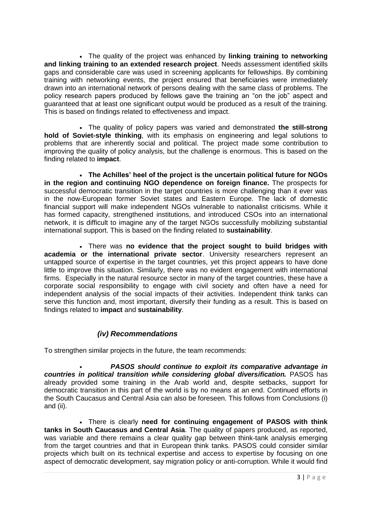The quality of the project was enhanced by **linking training to networking and linking training to an extended research project**. Needs assessment identified skills gaps and considerable care was used in screening applicants for fellowships. By combining training with networking events, the project ensured that beneficiaries were immediately drawn into an international network of persons dealing with the same class of problems. The policy research papers produced by fellows gave the training an "on the job" aspect and guaranteed that at least one significant output would be produced as a result of the training. This is based on findings related to effectiveness and impact.

 The quality of policy papers was varied and demonstrated **the still-strong hold of Soviet-style thinking**, with its emphasis on engineering and legal solutions to problems that are inherently social and political. The project made some contribution to improving the quality of policy analysis, but the challenge is enormous. This is based on the finding related to **impact**.

 **The Achilles' heel of the project is the uncertain political future for NGOs in the region and continuing NGO dependence on foreign finance.** The prospects for successful democratic transition in the target countries is more challenging than it ever was in the now-European former Soviet states and Eastern Europe. The lack of domestic financial support will make independent NGOs vulnerable to nationalist criticisms. While it has formed capacity, strengthened institutions, and introduced CSOs into an international network, it is difficult to imagine any of the target NGOs successfully mobilizing substantial international support. This is based on the finding related to **sustainability**.

 There was **no evidence that the project sought to build bridges with academia or the international private sector**. University researchers represent an untapped source of expertise in the target countries, yet this project appears to have done little to improve this situation. Similarly, there was no evident engagement with international firms. Especially in the natural resource sector in many of the target countries, these have a corporate social responsibility to engage with civil society and often have a need for independent analysis of the social impacts of their activities. Independent think tanks can serve this function and, most important, diversify their funding as a result. This is based on findings related to **impact** and **sustainability**.

### *(iv) Recommendations*

To strengthen similar projects in the future, the team recommends:

 *PASOS should continue to exploit its comparative advantage in countries in political transition while considering global diversification.* **PASOS has** already provided some training in the Arab world and, despite setbacks, support for democratic transition in this part of the world is by no means at an end. Continued efforts in the South Caucasus and Central Asia can also be foreseen. This follows from Conclusions (i) and (ii).

 There is clearly **need for continuing engagement of PASOS with think tanks in South Caucasus and Central Asia**. The quality of papers produced, as reported, was variable and there remains a clear quality gap between think-tank analysis emerging from the target countries and that in European think tanks. PASOS could consider similar projects which built on its technical expertise and access to expertise by focusing on one aspect of democratic development, say migration policy or anti-corruption. While it would find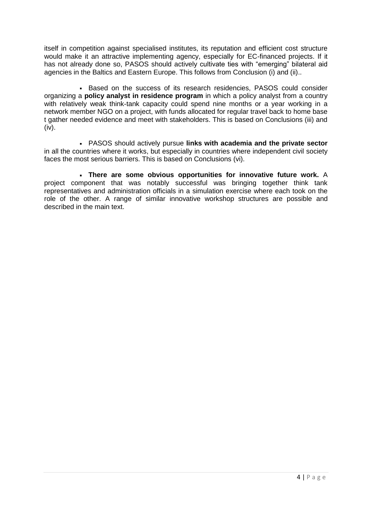itself in competition against specialised institutes, its reputation and efficient cost structure would make it an attractive implementing agency, especially for EC-financed projects. If it has not already done so, PASOS should actively cultivate ties with "emerging" bilateral aid agencies in the Baltics and Eastern Europe. This follows from Conclusion (i) and (ii)..

 Based on the success of its research residencies, PASOS could consider organizing a **policy analyst in residence program** in which a policy analyst from a country with relatively weak think-tank capacity could spend nine months or a year working in a network member NGO on a project, with funds allocated for regular travel back to home base t gather needed evidence and meet with stakeholders. This is based on Conclusions (iii) and (iv).

 PASOS should actively pursue **links with academia and the private sector** in all the countries where it works, but especially in countries where independent civil society faces the most serious barriers. This is based on Conclusions (vi).

<span id="page-6-0"></span> **There are some obvious opportunities for innovative future work.** A project component that was notably successful was bringing together think tank representatives and administration officials in a simulation exercise where each took on the role of the other. A range of similar innovative workshop structures are possible and described in the main text.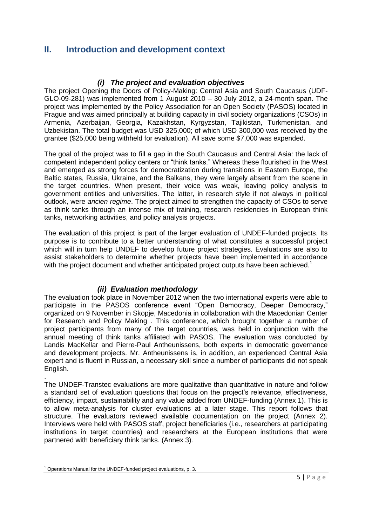## **II. Introduction and development context**

#### *(i) The project and evaluation objectives*

<span id="page-7-0"></span>The project Opening the Doors of Policy-Making: Central Asia and South Caucasus (UDF-GLO-09-281) was implemented from 1 August 2010 – 30 July 2012, a 24-month span. The project was implemented by the Policy Association for an Open Society (PASOS) located in Prague and was aimed principally at building capacity in civil society organizations (CSOs) in Armenia, Azerbaijan, Georgia, Kazakhstan, Kyrgyzstan, Tajikistan, Turkmenistan, and Uzbekistan. The total budget was USD 325,000; of which USD 300,000 was received by the grantee (\$25,000 being withheld for evaluation). All save some \$7,000 was expended.

The goal of the project was to fill a gap in the South Caucasus and Central Asia: the lack of competent independent policy centers or "think tanks." Whereas these flourished in the West and emerged as strong forces for democratization during transitions in Eastern Europe, the Baltic states, Russia, Ukraine, and the Balkans, they were largely absent from the scene in the target countries. When present, their voice was weak, leaving policy analysis to government entities and universities. The latter, in research style if not always in political outlook, were *ancien regime*. The project aimed to strengthen the capacity of CSOs to serve as think tanks through an intense mix of training, research residencies in European think tanks, networking activities, and policy analysis projects.

The evaluation of this project is part of the larger evaluation of UNDEF-funded projects. Its purpose is to contribute to a better understanding of what constitutes a successful project which will in turn help UNDEF to develop future project strategies. Evaluations are also to assist stakeholders to determine whether projects have been implemented in accordance with the project document and whether anticipated project outputs have been achieved.<sup>1</sup>

#### *(ii) Evaluation methodology*

<span id="page-7-1"></span>The evaluation took place in November 2012 when the two international experts were able to participate in the PASOS conference event "Open Democracy, Deeper Democracy," organized on 9 November in Skopje, Macedonia in collaboration with the Macedonian Center for Research and Policy Making . This conference, which brought together a number of project participants from many of the target countries, was held in conjunction with the annual meeting of think tanks affiliated with PASOS. The evaluation was conducted by Landis MacKellar and Pierre-Paul Antheunissens, both experts in democratic governance and development projects. Mr. Antheunissens is, in addition, an experienced Central Asia expert and is fluent in Russian, a necessary skill since a number of participants did not speak English.

. The UNDEF-Transtec evaluations are more qualitative than quantitative in nature and follow a standard set of evaluation questions that focus on the project's relevance, effectiveness, efficiency, impact, sustainability and any value added from UNDEF-funding (Annex 1). This is to allow meta-analysis for cluster evaluations at a later stage. This report follows that structure. The evaluators reviewed available documentation on the project (Annex 2). Interviews were held with PASOS staff, project beneficiaries (i.e., researchers at participating institutions in target countries) and researchers at the European institutions that were partnered with beneficiary think tanks. (Annex 3).

**<sup>.</sup>** <sup>1</sup> Operations Manual for the UNDEF-funded project evaluations, p. 3.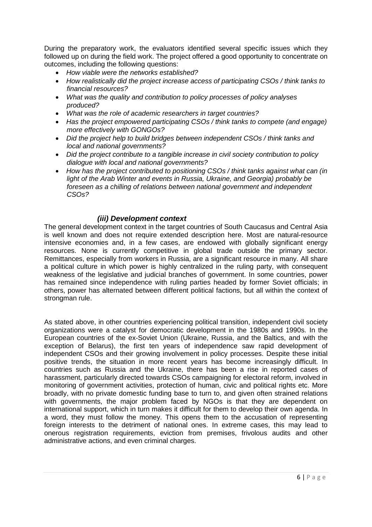During the preparatory work, the evaluators identified several specific issues which they followed up on during the field work. The project offered a good opportunity to concentrate on outcomes, including the following questions:

- *How viable were the networks established?*
- *How realistically did the project increase access of participating CSOs / think tanks to financial resources?*
- *What was the quality and contribution to policy processes of policy analyses produced?*
- *What was the role of academic researchers in target countries?*
- *Has the project empowered participating CSOs / think tanks to compete (and engage) more effectively with GONGOs?*
- *Did the project help to build bridges between independent CSOs / think tanks and local and national governments?*
- *Did the project contribute to a tangible increase in civil society contribution to policy dialogue with local and national governments?*
- *How has the project contributed to positioning CSOs / think tanks against what can (in light of the Arab Winter and events in Russia, Ukraine, and Georgia) probably be foreseen as a chilling of relations between national government and independent CSOs?*

#### *(iii) Development context*

<span id="page-8-0"></span>The general development context in the target countries of South Caucasus and Central Asia is well known and does not require extended description here. Most are natural-resource intensive economies and, in a few cases, are endowed with globally significant energy resources. None is currently competitive in global trade outside the primary sector. Remittances, especially from workers in Russia, are a significant resource in many. All share a political culture in which power is highly centralized in the ruling party, with consequent weakness of the legislative and judicial branches of government. In some countries, power has remained since independence with ruling parties headed by former Soviet officials; in others, power has alternated between different political factions, but all within the context of strongman rule.

As stated above, in other countries experiencing political transition, independent civil society organizations were a catalyst for democratic development in the 1980s and 1990s. In the European countries of the ex-Soviet Union (Ukraine, Russia, and the Baltics, and with the exception of Belarus), the first ten years of independence saw rapid development of independent CSOs and their growing involvement in policy processes. Despite these initial positive trends, the situation in more recent years has become increasingly difficult. In countries such as Russia and the Ukraine, there has been a rise in reported cases of harassment, particularly directed towards CSOs campaigning for electoral reform, involved in monitoring of government activities, protection of human, civic and political rights etc. More broadly, with no private domestic funding base to turn to, and given often strained relations with governments, the major problem faced by NGOs is that they are dependent on international support, which in turn makes it difficult for them to develop their own agenda. In a word, they must follow the money. This opens them to the accusation of representing foreign interests to the detriment of national ones. In extreme cases, this may lead to onerous registration requirements, eviction from premises, frivolous audits and other administrative actions, and even criminal charges.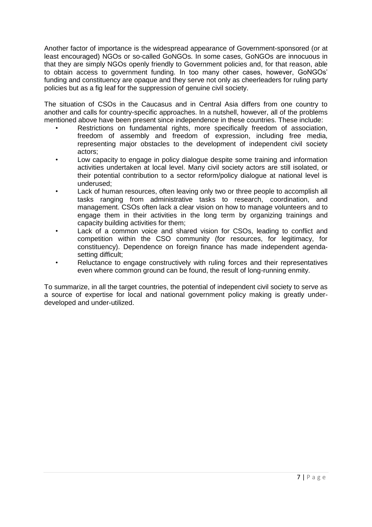Another factor of importance is the widespread appearance of Government-sponsored (or at least encouraged) NGOs or so-called GoNGOs. In some cases, GoNGOs are innocuous in that they are simply NGOs openly friendly to Government policies and, for that reason, able to obtain access to government funding. In too many other cases, however, GoNGOs' funding and constituency are opaque and they serve not only as cheerleaders for ruling party policies but as a fig leaf for the suppression of genuine civil society.

The situation of CSOs in the Caucasus and in Central Asia differs from one country to another and calls for country-specific approaches. In a nutshell, however, all of the problems mentioned above have been present since independence in these countries. These include:

- Restrictions on fundamental rights, more specifically freedom of association, freedom of assembly and freedom of expression, including free media, representing major obstacles to the development of independent civil society actors;
- Low capacity to engage in policy dialogue despite some training and information activities undertaken at local level. Many civil society actors are still isolated, or their potential contribution to a sector reform/policy dialogue at national level is underused;
- Lack of human resources, often leaving only two or three people to accomplish all tasks ranging from administrative tasks to research, coordination, and management. CSOs often lack a clear vision on how to manage volunteers and to engage them in their activities in the long term by organizing trainings and capacity building activities for them;
- Lack of a common voice and shared vision for CSOs, leading to conflict and competition within the CSO community (for resources, for legitimacy, for constituency). Dependence on foreign finance has made independent agendasetting difficult:
- Reluctance to engage constructively with ruling forces and their representatives even where common ground can be found, the result of long-running enmity.

<span id="page-9-0"></span>To summarize, in all the target countries, the potential of independent civil society to serve as a source of expertise for local and national government policy making is greatly underdeveloped and under-utilized.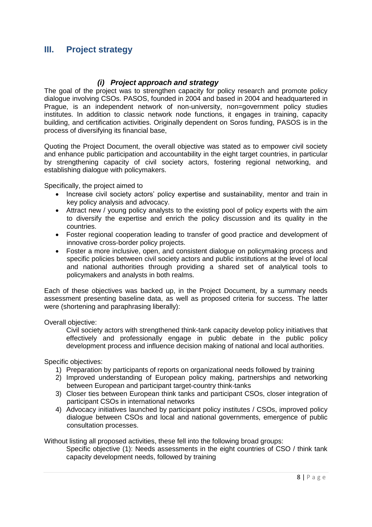### **III. Project strategy**

#### *(i) Project approach and strategy*

<span id="page-10-0"></span>The goal of the project was to strengthen capacity for policy research and promote policy dialogue involving CSOs. PASOS, founded in 2004 and based in 2004 and headquartered in Prague, is an independent network of non-university, non=government policy studies institutes. In addition to classic network node functions, it engages in training, capacity building, and certification activities. Originally dependent on Soros funding, PASOS is in the process of diversifying its financial base,

Quoting the Project Document, the overall objective was stated as to empower civil society and enhance public participation and accountability in the eight target countries, in particular by strengthening capacity of civil society actors, fostering regional networking, and establishing dialogue with policymakers.

Specifically, the project aimed to

- Increase civil society actors' policy expertise and sustainability, mentor and train in key policy analysis and advocacy.
- Attract new / young policy analysts to the existing pool of policy experts with the aim to diversify the expertise and enrich the policy discussion and its quality in the countries.
- Foster regional cooperation leading to transfer of good practice and development of innovative cross-border policy projects.
- Foster a more inclusive, open, and consistent dialogue on policymaking process and specific policies between civil society actors and public institutions at the level of local and national authorities through providing a shared set of analytical tools to policymakers and analysts in both realms.

Each of these objectives was backed up, in the Project Document, by a summary needs assessment presenting baseline data, as well as proposed criteria for success. The latter were (shortening and paraphrasing liberally):

Overall objective:

Civil society actors with strengthened think-tank capacity develop policy initiatives that effectively and professionally engage in public debate in the public policy development process and influence decision making of national and local authorities.

Specific objectives:

- 1) Preparation by participants of reports on organizational needs followed by training
- 2) Improved understanding of European policy making, partnerships and networking between European and participant target-country think-tanks
- 3) Closer ties between European think tanks and participant CSOs, closer integration of participant CSOs in international networks
- 4) Advocacy initiatives launched by participant policy institutes / CSOs, improved policy dialogue between CSOs and local and national governments, emergence of public consultation processes.

Without listing all proposed activities, these fell into the following broad groups:

Specific objective (1): Needs assessments in the eight countries of CSO / think tank capacity development needs, followed by training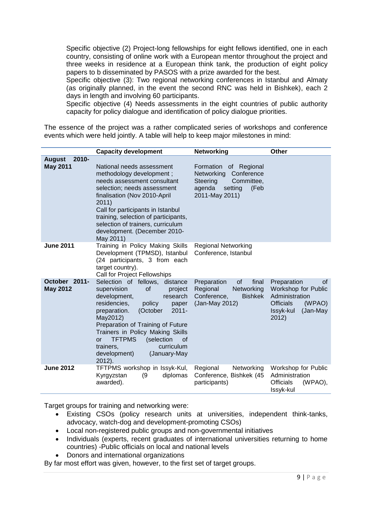Specific objective (2) Project-long fellowships for eight fellows identified, one in each country, consisting of online work with a European mentor throughout the project and three weeks in residence at a European think tank, the production of eight policy papers to b disseminated by PASOS with a prize awarded for the best.

Specific objective (3): Two regional networking conferences in Istanbul and Almaty (as originally planned, in the event the second RNC was held in Bishkek), each 2 days in length and involving 60 participants.

Specific objective (4) Needs assessments in the eight countries of public authority capacity for policy dialogue and identification of policy dialogue priorities.

The essence of the project was a rather complicated series of workshops and conference events which were held jointly. A table will help to keep major milestones in mind:

|                                              | <b>Capacity development</b>                                                                                                                                                                                                                                                                                                                                                                 | <b>Networking</b>                                                                                                          | <b>Other</b>                                                                                                               |
|----------------------------------------------|---------------------------------------------------------------------------------------------------------------------------------------------------------------------------------------------------------------------------------------------------------------------------------------------------------------------------------------------------------------------------------------------|----------------------------------------------------------------------------------------------------------------------------|----------------------------------------------------------------------------------------------------------------------------|
| $2010 -$<br><b>August</b><br><b>May 2011</b> | National needs assessment<br>methodology development;<br>needs assessment consultant<br>selection; needs assessment<br>finalisation (Nov 2010-April<br>2011)<br>Call for participants in Istanbul<br>training, selection of participants,<br>selection of trainers, curriculum<br>development. (December 2010-<br>May 2011)                                                                 | Formation of Regional<br>Networking<br>Conference<br>Committee,<br>Steering<br>agenda<br>setting<br>(Feb<br>2011-May 2011) |                                                                                                                            |
| <b>June 2011</b>                             | Training in Policy Making Skills<br>Development (TPMSD), Istanbul<br>(24 participants, 3 from each<br>target country).<br>Call for Project Fellowships                                                                                                                                                                                                                                      | <b>Regional Networking</b><br>Conference, Istanbul                                                                         |                                                                                                                            |
| October 2011-<br><b>May 2012</b>             | Selection of fellows, distance<br>supervision<br><b>of</b><br>project<br>development,<br>research<br>residencies,<br>policy<br>paper<br>(October<br>$2011 -$<br>preparation.<br>May2012)<br>Preparation of Training of Future<br>Trainers in Policy Making Skills<br><b>TFTPMS</b><br>(selection<br>0f<br><b>or</b><br>curriculum<br>trainers,<br>development)<br>(January-May<br>$2012$ ). | <b>of</b><br>final<br>Preparation<br>Regional<br>Networking<br>Conference,<br><b>Bishkek</b><br>(Jan-May 2012)             | of<br>Preparation<br>Workshop for Public<br>Administration<br><b>Officials</b><br>(WPAO)<br>Issyk-kul<br>(Jan-May<br>2012) |
| <b>June 2012</b>                             | TFTPMS workshop in Issyk-Kul,<br>(9)<br>diplomas<br>Kyrgyzstan<br>awarded).                                                                                                                                                                                                                                                                                                                 | Regional<br>Networking<br>Conference, Bishkek (45<br>participants)                                                         | Workshop for Public<br>Administration<br><b>Officials</b><br>(WPAO),<br>Issyk-kul                                          |

Target groups for training and networking were:

- Existing CSOs (policy research units at universities, independent think-tanks, advocacy, watch-dog and development-promoting CSOs)
- Local non-registered public groups and non-governmental initiatives
- Individuals (experts, recent graduates of international universities returning to home countries) -Public officials on local and national levels
- Donors and international organizations

By far most effort was given, however, to the first set of target groups.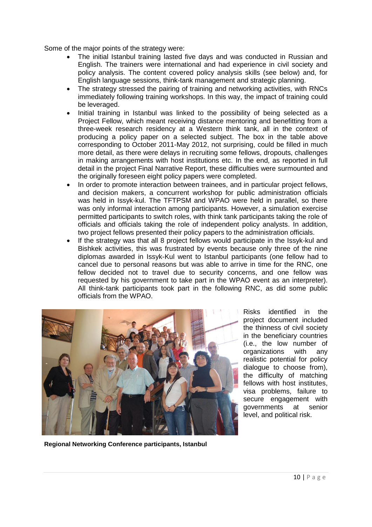Some of the major points of the strategy were:

- The initial Istanbul training lasted five days and was conducted in Russian and English. The trainers were international and had experience in civil society and policy analysis. The content covered policy analysis skills (see below) and, for English language sessions, think-tank management and strategic planning.
- The strategy stressed the pairing of training and networking activities, with RNCs immediately following training workshops. In this way, the impact of training could be leveraged.
- Initial training in Istanbul was linked to the possibility of being selected as a Project Fellow, which meant receiving distance mentoring and benefitting from a three-week research residency at a Western think tank, all in the context of producing a policy paper on a selected subject. The box in the table above corresponding to October 2011-May 2012, not surprising, could be filled in much more detail, as there were delays in recruiting some fellows, dropouts, challenges in making arrangements with host institutions etc. In the end, as reported in full detail in the project Final Narrative Report, these difficulties were surmounted and the originally foreseen eight policy papers were completed.
- In order to promote interaction between trainees, and in particular project fellows, and decision makers, a concurrent workshop for public administration officials was held in Issyk-kul. The TFTPSM and WPAO were held in parallel, so there was only informal interaction among participants. However, a simulation exercise permitted participants to switch roles, with think tank participants taking the role of officials and officials taking the role of independent policy analysts. In addition, two project fellows presented their policy papers to the administration officials.
- If the strategy was that all 8 project fellows would participate in the Issyk-kul and Bishkek activities, this was frustrated by events because only three of the nine diplomas awarded in Issyk-Kul went to Istanbul participants (one fellow had to cancel due to personal reasons but was able to arrive in time for the RNC, one fellow decided not to travel due to security concerns, and one fellow was requested by his government to take part in the WPAO event as an interpreter). All think-tank participants took part in the following RNC, as did some public officials from the WPAO.



Risks identified in the project document included the thinness of civil society in the beneficiary countries (i.e., the low number of organizations with any realistic potential for policy dialogue to choose from), the difficulty of matching fellows with host institutes, visa problems, failure to secure engagement with governments at senior level, and political risk.

**Regional Networking Conference participants, Istanbul**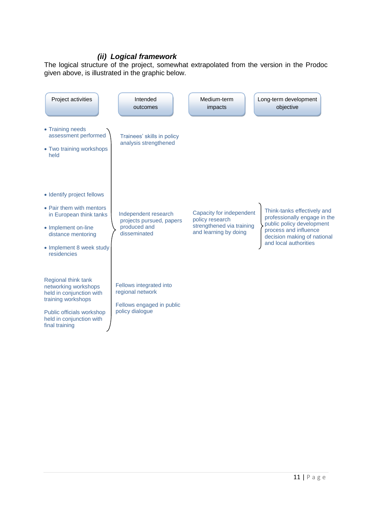#### *(ii) Logical framework*

<span id="page-13-0"></span>The logical structure of the project, somewhat extrapolated from the version in the Prodoc given above, is illustrated in the graphic below.

<span id="page-13-1"></span>

| Project activities                                                                                                                                                        | Intended<br>outcomes                                                                        | Medium-term<br>impacts                                                                            | Long-term development<br>objective                                                                                                                                        |
|---------------------------------------------------------------------------------------------------------------------------------------------------------------------------|---------------------------------------------------------------------------------------------|---------------------------------------------------------------------------------------------------|---------------------------------------------------------------------------------------------------------------------------------------------------------------------------|
| • Training needs<br>assessment performed<br>• Two training workshops<br>held                                                                                              | Trainees' skills in policy<br>analysis strengthened                                         |                                                                                                   |                                                                                                                                                                           |
| • Identify project fellows<br>• Pair them with mentors<br>in European think tanks<br>• Implement on-line<br>distance mentoring<br>• Implement 8 week study<br>residencies | Independent research<br>projects pursued, papers<br>produced and<br>disseminated            | Capacity for independent<br>policy research<br>strengthened via training<br>and learning by doing | Think-tanks effectively and<br>professionally engage in the<br>public policy development<br>process and influence<br>decision making of national<br>and local authorities |
| Regional think tank<br>networking workshops<br>held in conjunction with<br>training workshops<br>Public officials workshop<br>held in conjunction with<br>final training  | Fellows integrated into<br>regional network<br>Fellows engaged in public<br>policy dialogue |                                                                                                   |                                                                                                                                                                           |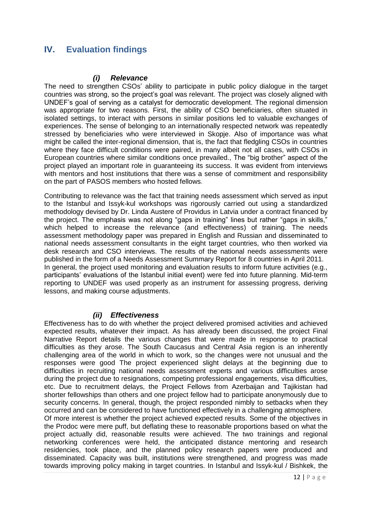## **IV. Evaluation findings**

#### *(i) Relevance*

<span id="page-14-0"></span>The need to strengthen CSOs' ability to participate in public policy dialogue in the target countries was strong, so the project's goal was relevant. The project was closely aligned with UNDEF's goal of serving as a catalyst for democratic development. The regional dimension was appropriate for two reasons. First, the ability of CSO beneficiaries, often situated in isolated settings, to interact with persons in similar positions led to valuable exchanges of experiences. The sense of belonging to an internationally respected network was repeatedly stressed by beneficiaries who were interviewed in Skopje. Also of importance was what might be called the inter-regional dimension, that is, the fact that fledgling CSOs in countries where they face difficult conditions were paired, in many albeit not all cases, with CSOs in European countries where similar conditions once prevailed., The "big brother" aspect of the project played an important role in guaranteeing its success. It was evident from interviews with mentors and host institutions that there was a sense of commitment and responsibility on the part of PASOS members who hosted fellows.

Contributing to relevance was the fact that training needs assessment which served as input to the Istanbul and Issyk-kul workshops was rigorously carried out using a standardized methodology devised by Dr. Linda Austere of Providus in Latvia under a contract financed by the project. The emphasis was not along "gaps in training" lines but rather "gaps in skills," which helped to increase the relevance (and effectiveness) of training. The needs assessment methodology paper was prepared in English and Russian and disseminated to national needs assessment consultants in the eight target countries, who then worked via desk research and CSO interviews. The results of the national needs assessments were published in the form of a Needs Assessment Summary Report for 8 countries in April 2011. In general, the project used monitoring and evaluation results to inform future activities (e.g., participants' evaluations of the Istanbul initial event) were fed into future planning. Mid-term reporting to UNDEF was used properly as an instrument for assessing progress, deriving lessons, and making course adjustments.

#### *(ii) Effectiveness*

<span id="page-14-1"></span>Effectiveness has to do with whether the project delivered promised activities and achieved expected results, whatever their impact. As has already been discussed, the project Final Narrative Report details the various changes that were made in response to practical difficulties as they arose. The South Caucasus and Central Asia region is an inherently challenging area of the world in which to work, so the changes were not unusual and the responses were good The project experienced slight delays at the beginning due to difficulties in recruiting national needs assessment experts and various difficulties arose during the project due to resignations, competing professional engagements, visa difficulties, etc. Due to recruitment delays, the Project Fellows from Azerbaijan and Tajikistan had shorter fellowships than others and one project fellow had to participate anonymously due to security concerns. In general, though, the project responded nimbly to setbacks when they occurred and can be considered to have functioned effectively in a challenging atmosphere.

Of more interest is whether the project achieved expected results. Some of the objectives in the Prodoc were mere puff, but deflating these to reasonable proportions based on what the project actually did, reasonable results were achieved. The two trainings and regional networking conferences were held, the anticipated distance mentoring and research residencies, took place, and the planned policy research papers were produced and disseminated. Capacity was built, institutions were strengthened, and progress was made towards improving policy making in target countries. In Istanbul and Issyk-kul / Bishkek, the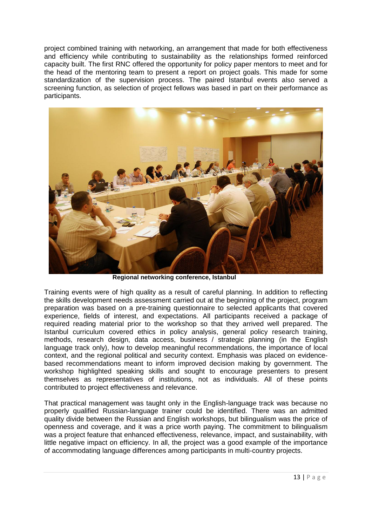project combined training with networking, an arrangement that made for both effectiveness and efficiency while contributing to sustainability as the relationships formed reinforced capacity built. The first RNC offered the opportunity for policy paper mentors to meet and for the head of the mentoring team to present a report on project goals. This made for some standardization of the supervision process. The paired Istanbul events also served a screening function, as selection of project fellows was based in part on their performance as participants.



**Regional networking conference, Istanbul**

Training events were of high quality as a result of careful planning. In addition to reflecting the skills development needs assessment carried out at the beginning of the project, program preparation was based on a pre-training questionnaire to selected applicants that covered experience, fields of interest, and expectations. All participants received a package of required reading material prior to the workshop so that they arrived well prepared. The Istanbul curriculum covered ethics in policy analysis, general policy research training, methods, research design, data access, business / strategic planning (in the English language track only), how to develop meaningful recommendations, the importance of local context, and the regional political and security context. Emphasis was placed on evidencebased recommendations meant to inform improved decision making by government. The workshop highlighted speaking skills and sought to encourage presenters to present themselves as representatives of institutions, not as individuals. All of these points contributed to project effectiveness and relevance.

That practical management was taught only in the English-language track was because no properly qualified Russian-language trainer could be identified. There was an admitted quality divide between the Russian and English workshops, but bilingualism was the price of openness and coverage, and it was a price worth paying. The commitment to bilingualism was a project feature that enhanced effectiveness, relevance, impact, and sustainability, with little negative impact on efficiency. In all, the project was a good example of the importance of accommodating language differences among participants in multi-country projects.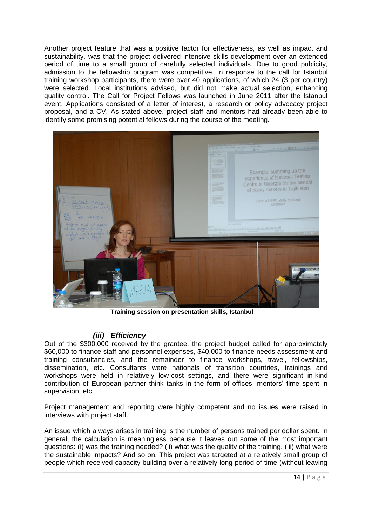Another project feature that was a positive factor for effectiveness, as well as impact and sustainability, was that the project delivered intensive skills development over an extended period of time to a small group of carefully selected individuals. Due to good publicity, admission to the fellowship program was competitive. In response to the call for Istanbul training workshop participants, there were over 40 applications, of which 24 (3 per country) were selected. Local institutions advised, but did not make actual selection, enhancing quality control. The Call for Project Fellows was launched in June 2011 after the Istanbul event. Applications consisted of a letter of interest, a research or policy advocacy project proposal, and a CV. As stated above, project staff and mentors had already been able to identify some promising potential fellows during the course of the meeting.



**Training session on presentation skills, Istanbul**

### *(iii) Efficiency*

<span id="page-16-0"></span>Out of the \$300,000 received by the grantee, the project budget called for approximately \$60,000 to finance staff and personnel expenses, \$40,000 to finance needs assessment and training consultancies, and the remainder to finance workshops, travel, fellowships, dissemination, etc. Consultants were nationals of transition countries, trainings and workshops were held in relatively low-cost settings, and there were significant in-kind contribution of European partner think tanks in the form of offices, mentors' time spent in supervision, etc.

Project management and reporting were highly competent and no issues were raised in interviews with project staff.

An issue which always arises in training is the number of persons trained per dollar spent. In general, the calculation is meaningless because it leaves out some of the most important questions: (i) was the training needed? (ii) what was the quality of the training, (iii) what were the sustainable impacts? And so on. This project was targeted at a relatively small group of people which received capacity building over a relatively long period of time (without leaving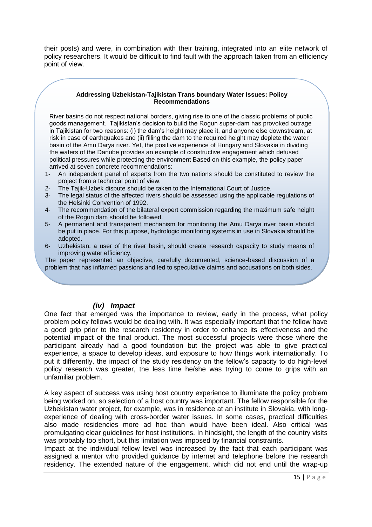their posts) and were, in combination with their training, integrated into an elite network of policy researchers. It would be difficult to find fault with the approach taken from an efficiency point of view.

#### **Addressing Uzbekistan-Tajikistan Trans boundary Water Issues: Policy Recommendations**

River basins do not respect national borders, giving rise to one of the classic problems of public goods management. Tajikistan's decision to build the Rogun super-dam has provoked outrage in Tajikistan for two reasons: (i) the dam's height may place it, and anyone else downstream, at risk in case of earthquakes and (ii) filling the dam to the required height may deplete the water basin of the Amu Darya river. Yet, the positive experience of Hungary and Slovakia in dividing the waters of the Danube provides an example of constructive engagement which defused political pressures while protecting the environment Based on this example, the policy paper arrived at seven concrete recommendations:

- 1- An independent panel of experts from the two nations should be constituted to review the project from a technical point of view.
- 2- The Tajik-Uzbek dispute should be taken to the International Court of Justice.
- 3- The legal status of the affected rivers should be assessed using the applicable regulations of the Helsinki Convention of 1992.
- 4- The recommendation of the bilateral expert commission regarding the maximum safe height of the Rogun dam should be followed.
- 5- A permanent and transparent mechanism for monitoring the Amu Darya river basin should be put in place. For this purpose, hydrologic monitoring systems in use in Slovakia should be adopted.
- 6- Uzbekistan, a user of the river basin, should create research capacity to study means of improving water efficiency.

The paper represented an objective, carefully documented, science-based discussion of a problem that has inflamed passions and led to speculative claims and accusations on both sides.

#### *(iv) Impact*

<span id="page-17-0"></span>One fact that emerged was the importance to review, early in the process, what policy problem policy fellows would be dealing with. It was especially important that the fellow have a good grip prior to the research residency in order to enhance its effectiveness and the potential impact of the final product. The most successful projects were those where the participant already had a good foundation but the project was able to give practical experience, a space to develop ideas, and exposure to how things work internationally. To put it differently, the impact of the study residency on the fellow's capacity to do high-level policy research was greater, the less time he/she was trying to come to grips with an unfamiliar problem.

A key aspect of success was using host country experience to illuminate the policy problem being worked on, so selection of a host country was important. The fellow responsible for the Uzbekistan water project, for example, was in residence at an institute in Slovakia, with longexperience of dealing with cross-border water issues. In some cases, practical difficulties also made residencies more ad hoc than would have been ideal. Also critical was promulgating clear guidelines for host institutions. In hindsight, the length of the country visits was probably too short, but this limitation was imposed by financial constraints.

Impact at the individual fellow level was increased by the fact that each participant was assigned a mentor who provided guidance by internet and telephone before the research residency. The extended nature of the engagement, which did not end until the wrap-up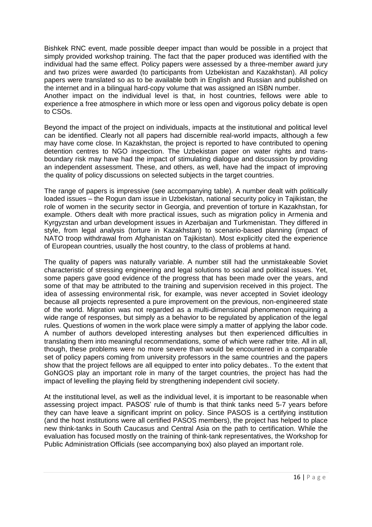Bishkek RNC event, made possible deeper impact than would be possible in a project that simply provided workshop training. The fact that the paper produced was identified with the individual had the same effect. Policy papers were assessed by a three-member award jury and two prizes were awarded (to participants from Uzbekistan and Kazakhstan). All policy papers were translated so as to be available both in English and Russian and published on the internet and in a bilingual hard-copy volume that was assigned an ISBN number.

Another impact on the individual level is that, in host countries, fellows were able to experience a free atmosphere in which more or less open and vigorous policy debate is open to CSOs.

Beyond the impact of the project on individuals, impacts at the institutional and political level can be identified. Clearly not all papers had discernible real-world impacts, although a few may have come close. In Kazakhstan, the project is reported to have contributed to opening detention centres to NGO inspection. The Uzbekistan paper on water rights and transboundary risk may have had the impact of stimulating dialogue and discussion by providing an independent assessment. These, and others, as well, have had the impact of improving the quality of policy discussions on selected subjects in the target countries.

The range of papers is impressive (see accompanying table). A number dealt with politically loaded issues – the Rogun dam issue in Uzbekistan, national security policy in Tajikistan, the role of women in the security sector in Georgia, and prevention of torture in Kazakhstan, for example. Others dealt with more practical issues, such as migration policy in Armenia and Kyrgyzstan and urban development issues in Azerbaijan and Turkmenistan. They differed in style, from legal analysis (torture in Kazakhstan) to scenario-based planning (impact of NATO troop withdrawal from Afghanistan on Tajikistan). Most explicitly cited the experience of European countries, usually the host country, to the class of problems at hand.

The quality of papers was naturally variable. A number still had the unmistakeable Soviet characteristic of stressing engineering and legal solutions to social and political issues. Yet, some papers gave good evidence of the progress that has been made over the years, and some of that may be attributed to the training and supervision received in this project. The idea of assessing environmental risk, for example, was never accepted in Soviet ideology because all projects represented a pure improvement on the previous, non-engineered state of the world. Migration was not regarded as a multi-dimensional phenomenon requiring a wide range of responses, but simply as a behavior to be regulated by application of the legal rules. Questions of women in the work place were simply a matter of applying the labor code. A number of authors developed interesting analyses but then experienced difficulties in translating them into meaningful recommendations, some of which were rather trite. All in all, though, these problems were no more severe than would be encountered in a comparable set of policy papers coming from university professors in the same countries and the papers show that the project fellows are all equipped to enter into policy debates.. To the extent that GoNGOS play an important role in many of the target countries, the project has had the impact of levelling the playing field by strengthening independent civil society.

At the institutional level, as well as the individual level, it is important to be reasonable when assessing project impact. PASOS' rule of thumb is that think tanks need 5-7 years before they can have leave a significant imprint on policy. Since PASOS is a certifying institution (and the host institutions were all certified PASOS members), the project has helped to place new think-tanks in South Caucasus and Central Asia on the path to certification. While the evaluation has focused mostly on the training of think-tank representatives, the Workshop for Public Administration Officials (see accompanying box) also played an important role.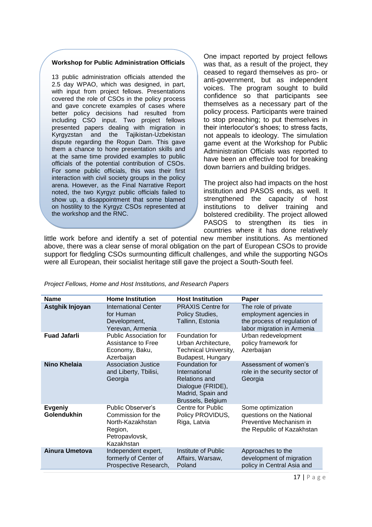#### **Workshop for Public Administration Officials**

13 public administration officials attended the 2.5 day WPAO, which was designed, in part, with input from project fellows. Presentations covered the role of CSOs in the policy process and gave concrete examples of cases where better policy decisions had resulted from including CSO input. Two project fellows presented papers dealing with migration in Kyrgyzstan and the Tajikistan-Uzbekistan dispute regarding the Rogun Dam. This gave them a chance to hone presentation skills and at the same time provided examples to public officials of the potential contribution of CSOs. For some public officials, this was their first interaction with civil society groups in the policy arena. However, as the Final Narrative Report noted, the two Kyrgyz public officials failed to show up, a disappointment that some blamed on hostility to the Kyrgyz CSOs represented at the workshop and the RNC.

One impact reported by project fellows was that, as a result of the project, they ceased to regard themselves as pro- or anti-government, but as independent voices. The program sought to build confidence so that participants see themselves as a necessary part of the policy process. Participants were trained to stop preaching; to put themselves in their interlocutor's shoes; to stress facts, not appeals to ideology. The simulation game event at the Workshop for Public Administration Officials was reported to have been an effective tool for breaking down barriers and building bridges.

The project also had impacts on the host institution and PASOS ends, as well. It strengthened the capacity of host institutions to deliver training and bolstered credibility. The project allowed PASOS to strengthen its ties in countries where it has done relatively

little work before and identify a set of potential new member institutions. As mentioned above, there was a clear sense of moral obligation on the part of European CSOs to provide support for fledgling CSOs surmounting difficult challenges, and while the supporting NGOs were all European, their socialist heritage still gave the project a South-South feel.

| <b>Name</b>                   | <b>Home Institution</b>                                                                                | <b>Host Institution</b>                                                                                         | Paper                                                                                                       |
|-------------------------------|--------------------------------------------------------------------------------------------------------|-----------------------------------------------------------------------------------------------------------------|-------------------------------------------------------------------------------------------------------------|
| Astghik Injoyan               | International Center<br>for Human<br>Development,<br>Yerevan, Armenia                                  | <b>PRAXIS Centre for</b><br>Policy Studies,<br>Tallinn, Estonia                                                 | The role of private<br>employment agencies in<br>the process of regulation of<br>labor migration in Armenia |
| <b>Fuad Jafarli</b>           | <b>Public Association for</b><br>Assistance to Free<br>Economy, Baku,<br>Azerbaijan                    | Foundation for<br>Urban Architecture,<br>Technical University,<br>Budapest, Hungary                             | Urban redevelopment<br>policy framework for<br>Azerbaijan                                                   |
| <b>Nino Khelaia</b>           | <b>Association Justice</b><br>and Liberty, Tbilisi,<br>Georgia                                         | Foundation for<br>International<br>Relations and<br>Dialogue (FRIDE),<br>Madrid, Spain and<br>Brussels, Belgium | Assessment of women's<br>role in the security sector of<br>Georgia                                          |
| <b>Evgeniy</b><br>Golendukhin | Public Observer's<br>Commission for the<br>North-Kazakhstan<br>Region,<br>Petropavlovsk,<br>Kazakhstan | <b>Centre for Public</b><br>Policy PROVIDUS,<br>Riga, Latvia                                                    | Some optimization<br>questions on the National<br>Preventive Mechanism in<br>the Republic of Kazakhstan     |
| Ainura Umetova                | Independent expert,<br>formerly of Center of<br>Prospective Research,                                  | Institute of Public<br>Affairs, Warsaw,<br>Poland                                                               | Approaches to the<br>development of migration<br>policy in Central Asia and                                 |

| Project Fellows, Home and Host Institutions, and Research Papers |  |  |  |
|------------------------------------------------------------------|--|--|--|
|                                                                  |  |  |  |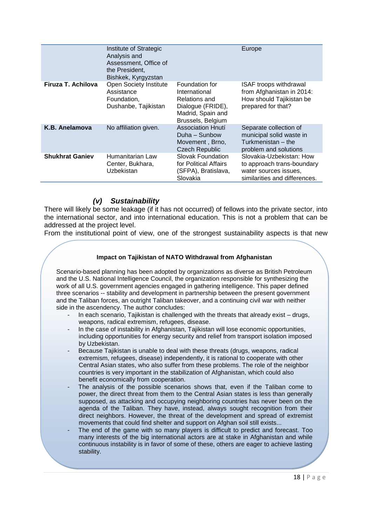|                        | Institute of Strategic<br>Analysis and<br>Assessment, Office of<br>the President.<br>Bishkek, Kyrgyzstan |                                                                                                                 | Europe                                                                                                           |
|------------------------|----------------------------------------------------------------------------------------------------------|-----------------------------------------------------------------------------------------------------------------|------------------------------------------------------------------------------------------------------------------|
| Firuza T. Achilova     | Open Society Institute<br>Assistance<br>Foundation,<br>Dushanbe, Tajikistan                              | Foundation for<br>International<br>Relations and<br>Dialogue (FRIDE),<br>Madrid, Spain and<br>Brussels, Belgium | ISAF troops withdrawal<br>from Afghanistan in 2014:<br>How should Tajikistan be<br>prepared for that?            |
| K.B. Anelamova         | No affiliation given.                                                                                    | <b>Association Hnutí</b><br>Duha – Sunbow<br>Movement, Brno,<br><b>Czech Republic</b>                           | Separate collection of<br>municipal solid waste in<br>Turkmenistan - the<br>problem and solutions                |
| <b>Shukhrat Ganiev</b> | Humanitarian Law<br>Center, Bukhara,<br>Uzbekistan                                                       | Slovak Foundation<br>for Political Affairs<br>(SFPA), Bratislava,<br>Slovakia                                   | Slovakia-Uzbekistan: How<br>to approach trans-boundary<br>water sources issues,<br>similarities and differences. |

#### *(v) Sustainability*

<span id="page-20-0"></span>There will likely be some leakage (if it has not occurred) of fellows into the private sector, into the international sector, and into international education. This is not a problem that can be addressed at the project level.

From the institutional point of view, one of the strongest sustainability aspects is that new

#### **Impact on Tajikistan of NATO Withdrawal from Afghanistan**

Scenario-based planning has been adopted by organizations as diverse as British Petroleum and the U.S. National Intelligence Council, the organization responsible for synthesizing the work of all U.S. government agencies engaged in gathering intelligence. This paper defined three scenarios -- stability and development in partnership between the present government and the Taliban forces, an outright Taliban takeover, and a continuing civil war with neither side in the ascendency. The author concludes:

- In each scenario, Tajikistan is challenged with the threats that already exist  $-$  drugs, weapons, radical extremism, refugees, disease.
- In the case of instability in Afghanistan, Tajikistan will lose economic opportunities, including opportunities for energy security and relief from transport isolation imposed by Uzbekistan.
- Because Tajikistan is unable to deal with these threats (drugs, weapons, radical extremism, refugees, disease) independently, it is rational to cooperate with other Central Asian states, who also suffer from these problems. The role of the neighbor countries is very important in the stabilization of Afghanistan, which could also benefit economically from cooperation.
- The analysis of the possible scenarios shows that, even if the Taliban come to power, the direct threat from them to the Central Asian states is less than generally supposed, as attacking and occupying neighboring countries has never been on the agenda of the Taliban. They have, instead, always sought recognition from their direct neighbors. However, the threat of the development and spread of extremist movements that could find shelter and support on Afghan soil still exists...
- The end of the game with so many players is difficult to predict and forecast. Too many interests of the big international actors are at stake in Afghanistan and while continuous instability is in favor of some of these, others are eager to achieve lasting stability.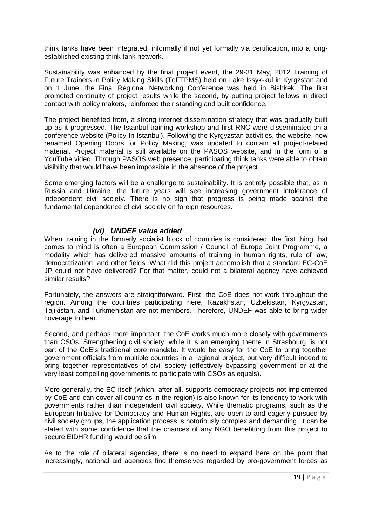think tanks have been integrated, informally if not yet formally via certification, into a longestablished existing think tank network.

Sustainability was enhanced by the final project event, the 29-31 May, 2012 Training of Future Trainers in Policy Making Skills (ToFTPMS) held on Lake Issyk-kul in Kyrgzstan and on 1 June, the Final Regional Networking Conference was held in Bishkek. The first promoted continuity of project results while the second, by putting project fellows in direct contact with policy makers, reinforced their standing and built confidence.

The project benefited from, a strong internet dissemination strategy that was gradually built up as it progressed. The Istanbul training workshop and first RNC were disseminated on a conference website (Policy-In-Istanbul). Following the Kyrgyzstan activities, the website, now renamed Opening Doors for Policy Making, was updated to contain all project-related material. Project material is still available on the PASOS website, and in the form of a YouTube video. Through PASOS web presence, participating think tanks were able to obtain visibility that would have been impossible in the absence of the project.

Some emerging factors will be a challenge to sustainability. It is entirely possible that, as in Russia and Ukraine, the future years will see increasing government intolerance of independent civil society. There is no sign that progress is being made against the fundamental dependence of civil society on foreign resources.

#### *(vi) UNDEF value added*

<span id="page-21-0"></span>When training in the formerly socialist block of countries is considered, the first thing that comes to mind is often a European Commission / Council of Europe Joint Programme, a modality which has delivered massive amounts of training in human rights, rule of law, democratization, and other fields. What did this project accomplish that a standard EC-CoE JP could not have delivered? For that matter, could not a bilateral agency have achieved similar results?

Fortunately, the answers are straightforward. First, the CoE does not work throughout the region. Among the countries participating here, Kazakhstan, Uzbekistan, Kyrgyzstan, Tajikistan, and Turkmenistan are not members. Therefore, UNDEF was able to bring wider coverage to bear.

Second, and perhaps more important, the CoE works much more closely with governments than CSOs. Strengthening civil society, while it is an emerging theme in Strasbourg, is not part of the CoE's traditional core mandate. It would be easy for the CoE to bring together government officials from multiple countries in a regional project, but very difficult indeed to bring together representatives of civil society (effectively bypassing government or at the very least compelling governments to participate with CSOs as equals).

More generally, the EC itself (which, after all, supports democracy projects not implemented by CoE and can cover all countries in the region) is also known for its tendency to work with governments rather than independent civil society. While thematic programs, such as the European Initiative for Democracy and Human Rights, are open to and eagerly pursued by civil society groups, the application process is notoriously complex and demanding. It can be stated with some confidence that the chances of any NGO benefitting from this project to secure EIDHR funding would be slim.

As to the role of bilateral agencies, there is no need to expand here on the point that increasingly, national aid agencies find themselves regarded by pro-government forces as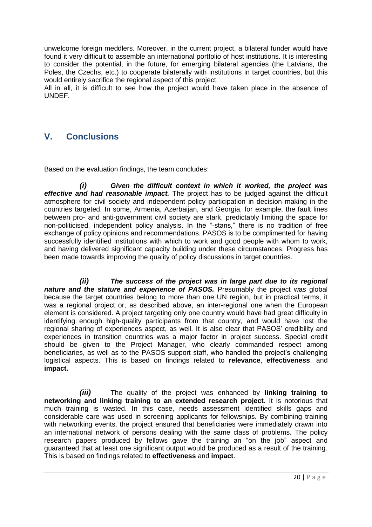unwelcome foreign meddlers. Moreover, in the current project, a bilateral funder would have found it very difficult to assemble an international portfolio of host institutions. It is interesting to consider the potential, in the future, for emerging bilateral agencies (the Latvians, the Poles, the Czechs, etc.) to cooperate bilaterally with institutions in target countries, but this would entirely sacrifice the regional aspect of this project.

All in all, it is difficult to see how the project would have taken place in the absence of UNDEF.

## <span id="page-22-0"></span>**V. Conclusions**

Based on the evaluation findings, the team concludes:

*(i) Given the difficult context in which it worked, the project was effective and had reasonable impact.* The project has to be judged against the difficult atmosphere for civil society and independent policy participation in decision making in the countries targeted. In some, Armenia, Azerbaijan, and Georgia, for example, the fault lines between pro- and anti-government civil society are stark, predictably limiting the space for non-politicised, independent policy analysis. In the "-stans," there is no tradition of free exchange of policy opinions and recommendations. PASOS is to be complimented for having successfully identified institutions with which to work and good people with whom to work, and having delivered significant capacity building under these circumstances. Progress has been made towards improving the quality of policy discussions in target countries.

*(ii) The success of the project was in large part due to its regional nature and the stature and experience of PASOS.* Presumably the project was global because the target countries belong to more than one UN region, but in practical terms, it was a regional project or, as described above, an inter-regional one when the European element is considered. A project targeting only one country would have had great difficulty in identifying enough high-quality participants from that country, and would have lost the regional sharing of experiences aspect, as well. It is also clear that PASOS' credibility and experiences in transition countries was a major factor in project success. Special credit should be given to the Project Manager, who clearly commanded respect among beneficiaries, as well as to the PASOS support staff, who handled the project's challenging logistical aspects. This is based on findings related to **relevance**, **effectiveness**, and **impact.**

*(iii)* The quality of the project was enhanced by **linking training to networking and linking training to an extended research project**. It is notorious that much training is wasted. In this case, needs assessment identified skills gaps and considerable care was used in screening applicants for fellowships. By combining training with networking events, the project ensured that beneficiaries were immediately drawn into an international network of persons dealing with the same class of problems. The policy research papers produced by fellows gave the training an "on the job" aspect and guaranteed that at least one significant output would be produced as a result of the training. This is based on findings related to **effectiveness** and **impact**.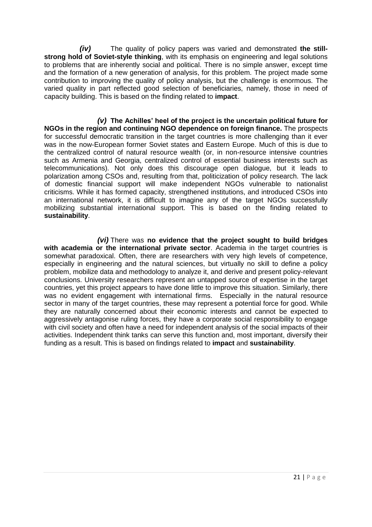*(iv)* The quality of policy papers was varied and demonstrated **the stillstrong hold of Soviet-style thinking**, with its emphasis on engineering and legal solutions to problems that are inherently social and political. There is no simple answer, except time and the formation of a new generation of analysis, for this problem. The project made some contribution to improving the quality of policy analysis, but the challenge is enormous. The varied quality in part reflected good selection of beneficiaries, namely, those in need of capacity building. This is based on the finding related to **impact**.

*(v)* **The Achilles' heel of the project is the uncertain political future for NGOs in the region and continuing NGO dependence on foreign finance.** The prospects for successful democratic transition in the target countries is more challenging than it ever was in the now-European former Soviet states and Eastern Europe. Much of this is due to the centralized control of natural resource wealth (or, in non-resource intensive countries such as Armenia and Georgia, centralized control of essential business interests such as telecommunications). Not only does this discourage open dialogue, but it leads to polarization among CSOs and, resulting from that, politicization of policy research. The lack of domestic financial support will make independent NGOs vulnerable to nationalist criticisms. While it has formed capacity, strengthened institutions, and introduced CSOs into an international network, it is difficult to imagine any of the target NGOs successfully mobilizing substantial international support. This is based on the finding related to **sustainability**.

<span id="page-23-0"></span>*(vi)* There was **no evidence that the project sought to build bridges with academia or the international private sector**. Academia in the target countries is somewhat paradoxical. Often, there are researchers with very high levels of competence, especially in engineering and the natural sciences, but virtually no skill to define a policy problem, mobilize data and methodology to analyze it, and derive and present policy-relevant conclusions. University researchers represent an untapped source of expertise in the target countries, yet this project appears to have done little to improve this situation. Similarly, there was no evident engagement with international firms. Especially in the natural resource sector in many of the target countries, these may represent a potential force for good. While they are naturally concerned about their economic interests and cannot be expected to aggressively antagonise ruling forces, they have a corporate social responsibility to engage with civil society and often have a need for independent analysis of the social impacts of their activities. Independent think tanks can serve this function and, most important, diversify their funding as a result. This is based on findings related to **impact** and **sustainability**.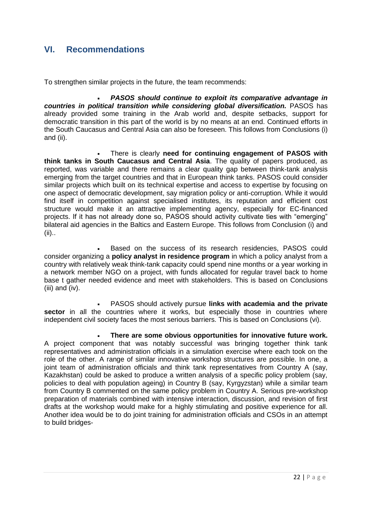## **VI. Recommendations**

To strengthen similar projects in the future, the team recommends:

 *PASOS should continue to exploit its comparative advantage in*  countries in political transition while considering global diversification. PASOS has already provided some training in the Arab world and, despite setbacks, support for democratic transition in this part of the world is by no means at an end. Continued efforts in the South Caucasus and Central Asia can also be foreseen. This follows from Conclusions (i) and (ii).

 There is clearly **need for continuing engagement of PASOS with think tanks in South Caucasus and Central Asia**. The quality of papers produced, as reported, was variable and there remains a clear quality gap between think-tank analysis emerging from the target countries and that in European think tanks. PASOS could consider similar projects which built on its technical expertise and access to expertise by focusing on one aspect of democratic development, say migration policy or anti-corruption. While it would find itself in competition against specialised institutes, its reputation and efficient cost structure would make it an attractive implementing agency, especially for EC-financed projects. If it has not already done so, PASOS should activity cultivate ties with "emerging" bilateral aid agencies in the Baltics and Eastern Europe. This follows from Conclusion (i) and (ii)..

 Based on the success of its research residencies, PASOS could consider organizing a **policy analyst in residence program** in which a policy analyst from a country with relatively weak think-tank capacity could spend nine months or a year working in a network member NGO on a project, with funds allocated for regular travel back to home base t gather needed evidence and meet with stakeholders. This is based on Conclusions (iii) and (iv).

 PASOS should actively pursue **links with academia and the private**  sector in all the countries where it works, but especially those in countries where independent civil society faces the most serious barriers. This is based on Conclusions (vi).

 **There are some obvious opportunities for innovative future work.** A project component that was notably successful was bringing together think tank representatives and administration officials in a simulation exercise where each took on the role of the other. A range of similar innovative workshop structures are possible. In one, a joint team of administration officials and think tank representatives from Country A (say, Kazakhstan) could be asked to produce a written analysis of a specific policy problem (say, policies to deal with population ageing) in Country B (say, Kyrgyzstan) while a similar team from Country B commented on the same policy problem in Country A. Serious pre-workshop preparation of materials combined with intensive interaction, discussion, and revision of first drafts at the workshop would make for a highly stimulating and positive experience for all. Another idea would be to do joint training for administration officials and CSOs in an attempt to build bridges-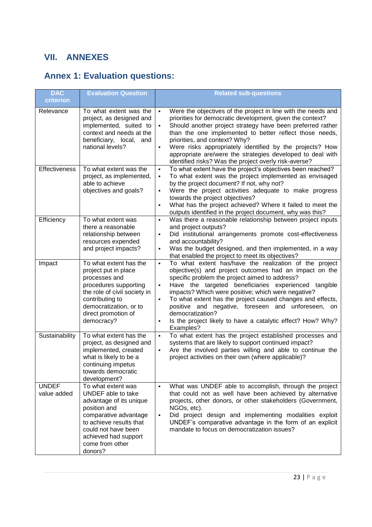## <span id="page-25-0"></span>**VII. ANNEXES**

# <span id="page-25-1"></span>**Annex 1: Evaluation questions:**

| <b>DAC</b><br>criterion     | <b>Evaluation Question</b>                                                                                                                                                                                           | <b>Related sub-questions</b>                                                                                                                                                                                                                                                                                                                                                                                                                                                                                                                                                    |
|-----------------------------|----------------------------------------------------------------------------------------------------------------------------------------------------------------------------------------------------------------------|---------------------------------------------------------------------------------------------------------------------------------------------------------------------------------------------------------------------------------------------------------------------------------------------------------------------------------------------------------------------------------------------------------------------------------------------------------------------------------------------------------------------------------------------------------------------------------|
| Relevance                   | To what extent was the<br>project, as designed and<br>implemented, suited to<br>context and needs at the<br>beneficiary, local, and<br>national levels?                                                              | Were the objectives of the project in line with the needs and<br>$\blacksquare$<br>priorities for democratic development, given the context?<br>Should another project strategy have been preferred rather<br>$\blacksquare$<br>than the one implemented to better reflect those needs,<br>priorities, and context? Why?<br>Were risks appropriately identified by the projects? How<br>$\blacksquare$<br>appropriate are/were the strategies developed to deal with<br>identified risks? Was the project overly risk-averse?                                                   |
| <b>Effectiveness</b>        | To what extent was the<br>project, as implemented,<br>able to achieve<br>objectives and goals?                                                                                                                       | To what extent have the project's objectives been reached?<br>$\blacksquare$<br>To what extent was the project implemented as envisaged<br>$\blacksquare$<br>by the project document? If not, why not?<br>Were the project activities adequate to make progress<br>$\blacksquare$<br>towards the project objectives?<br>What has the project achieved? Where it failed to meet the<br>$\blacksquare$<br>outputs identified in the project document, why was this?                                                                                                               |
| Efficiency                  | To what extent was<br>there a reasonable<br>relationship between<br>resources expended<br>and project impacts?                                                                                                       | Was there a reasonable relationship between project inputs<br>$\blacksquare$<br>and project outputs?<br>Did institutional arrangements promote cost-effectiveness<br>$\blacksquare$<br>and accountability?<br>Was the budget designed, and then implemented, in a way<br>$\blacksquare$<br>that enabled the project to meet its objectives?                                                                                                                                                                                                                                     |
| Impact                      | To what extent has the<br>project put in place<br>processes and<br>procedures supporting<br>the role of civil society in<br>contributing to<br>democratization, or to<br>direct promotion of<br>democracy?           | To what extent has/have the realization of the project<br>$\blacksquare$<br>objective(s) and project outcomes had an impact on the<br>specific problem the project aimed to address?<br>Have the targeted beneficiaries experienced tangible<br>$\blacksquare$<br>impacts? Which were positive; which were negative?<br>To what extent has the project caused changes and effects,<br>$\blacksquare$<br>positive and negative, foreseen and unforeseen,<br>on<br>democratization?<br>Is the project likely to have a catalytic effect? How? Why?<br>$\blacksquare$<br>Examples? |
| Sustainability              | To what extent has the<br>project, as designed and<br>implemented, created<br>what is likely to be a<br>continuing impetus<br>towards democratic<br>development?                                                     | To what extent has the project established processes and<br>$\blacksquare$<br>systems that are likely to support continued impact?<br>Are the involved parties willing and able to continue the<br>$\blacksquare$<br>project activities on their own (where applicable)?                                                                                                                                                                                                                                                                                                        |
| <b>UNDEF</b><br>value added | To what extent was<br>UNDEF able to take<br>advantage of its unique<br>position and<br>comparative advantage<br>to achieve results that<br>could not have been<br>achieved had support<br>come from other<br>donors? | What was UNDEF able to accomplish, through the project<br>$\blacksquare$<br>that could not as well have been achieved by alternative<br>projects, other donors, or other stakeholders (Government,<br>NGOs, etc).<br>Did project design and implementing modalities exploit<br>$\blacksquare$<br>UNDEF's comparative advantage in the form of an explicit<br>mandate to focus on democratization issues?                                                                                                                                                                        |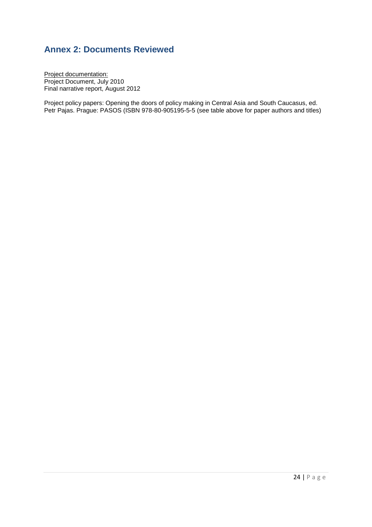## <span id="page-26-0"></span>**Annex 2: Documents Reviewed**

Project documentation: Project Document, July 2010 Final narrative report, August 2012

<span id="page-26-1"></span>Project policy papers: Opening the doors of policy making in Central Asia and South Caucasus, ed. Petr Pajas. Prague: PASOS (ISBN 978-80-905195-5-5 (see table above for paper authors and titles)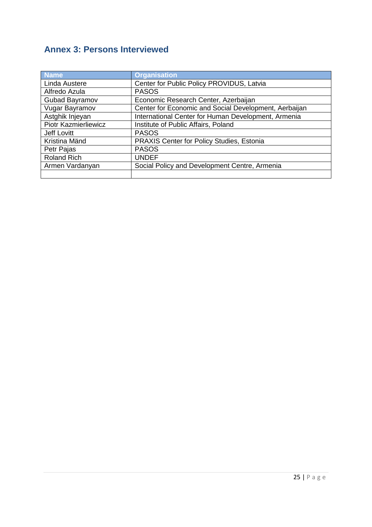## **Annex 3: Persons Interviewed**

<span id="page-27-0"></span>

| <b>Name</b>                 | <b>Organisation</b>                                   |
|-----------------------------|-------------------------------------------------------|
| Linda Austere               | Center for Public Policy PROVIDUS, Latvia             |
| Alfredo Azula               | <b>PASOS</b>                                          |
| Gubad Bayramov              | Economic Research Center, Azerbaijan                  |
| Vugar Bayramov              | Center for Economic and Social Development, Aerbaijan |
| Astghik Injeyan             | International Center for Human Development, Armenia   |
| <b>Piotr Kazmierliewicz</b> | Institute of Public Affairs, Poland                   |
| Jeff Lovitt                 | <b>PASOS</b>                                          |
| Kristina Mänd               | PRAXIS Center for Policy Studies, Estonia             |
| Petr Pajas                  | <b>PASOS</b>                                          |
| <b>Roland Rich</b>          | <b>UNDEF</b>                                          |
| Armen Vardanyan             | Social Policy and Development Centre, Armenia         |
|                             |                                                       |